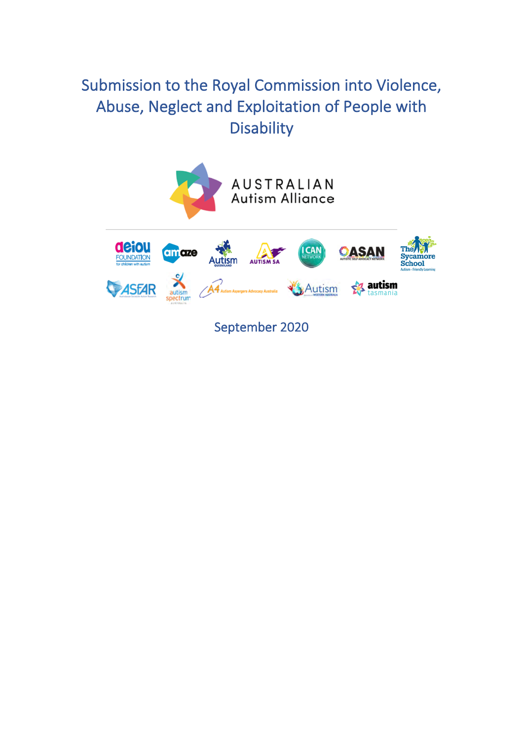# Submission to the Royal Commission into Violence, Abuse, Neglect and Exploitation of People with **Disability**



September 2020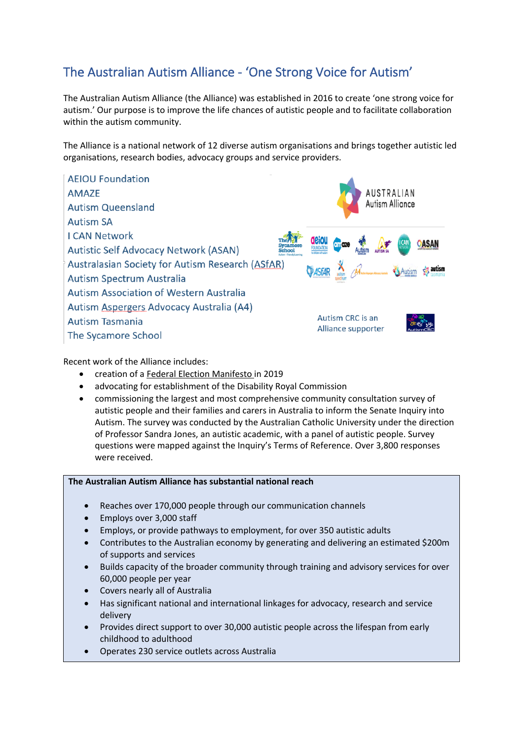## The Australian Autism Alliance - 'One Strong Voice for Autism'

The Australian Autism Alliance (the Alliance) was established in 2016 to create 'one strong voice for autism.' Our purpose is to improve the life chances of autistic people and to facilitate collaboration within the autism community.

The Alliance is a national network of 12 diverse autism organisations and brings together autistic led organisations, research bodies, advocacy groups and service providers.



## Recent work of the Alliance includes:

- creation of a Federal Election Manifesto in 2019
- advocating for establishment of the Disability Royal Commission
- commissioning the largest and most comprehensive community consultation survey of autistic people and their families and carers in Australia to inform the Senate Inquiry into Autism. The survey was conducted by the Australian Catholic University under the direction of Professor Sandra Jones, an autistic academic, with a panel of autistic people. Survey questions were mapped against the Inquiry's Terms of Reference. Over 3,800 responses were received.

## **The Australian Autism Alliance has substantial national reach**

- Reaches over 170,000 people through our communication channels
- Employs over 3,000 staff
- Employs, or provide pathways to employment, for over 350 autistic adults
- Contributes to the Australian economy by generating and delivering an estimated \$200m of supports and services
- Builds capacity of the broader community through training and advisory services for over 60,000 people per year
- Covers nearly all of Australia
- Has significant national and international linkages for advocacy, research and service delivery
- Provides direct support to over 30,000 autistic people across the lifespan from early childhood to adulthood
- Operates 230 service outlets across Australia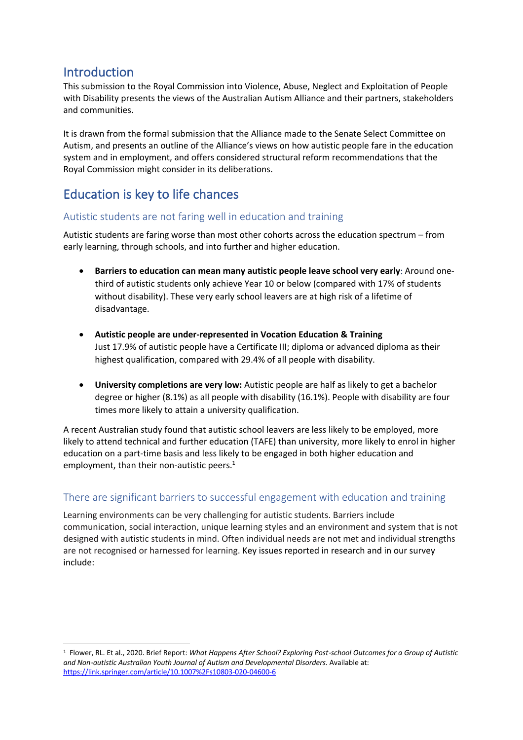## Introduction

This submission to the Royal Commission into Violence, Abuse, Neglect and Exploitation of People with Disability presents the views of the Australian Autism Alliance and their partners, stakeholders and communities.

It is drawn from the formal submission that the Alliance made to the Senate Select Committee on Autism, and presents an outline of the Alliance's views on how autistic people fare in the education system and in employment, and offers considered structural reform recommendations that the Royal Commission might consider in its deliberations.

## Education is key to life chances

## Autistic students are not faring well in education and training

Autistic students are faring worse than most other cohorts across the education spectrum – from early learning, through schools, and into further and higher education.

- **Barriers to education can mean many autistic people leave school very early**: Around onethird of autistic students only achieve Year 10 or below (compared with 17% of students without disability). These very early school leavers are at high risk of a lifetime of disadvantage.
- **Autistic people are under-represented in Vocation Education & Training** Just 17.9% of autistic people have a Certificate III; diploma or advanced diploma as their highest qualification, compared with 29.4% of all people with disability.
- **University completions are very low:** Autistic people are half as likely to get a bachelor degree or higher (8.1%) as all people with disability (16.1%). People with disability are four times more likely to attain a university qualification.

A recent Australian study found that autistic school leavers are less likely to be employed, more likely to attend technical and further education (TAFE) than university, more likely to enrol in higher education on a part-time basis and less likely to be engaged in both higher education and employment, than their non-autistic peers.<sup>1</sup>

## There are significant barriers to successful engagement with education and training

Learning environments can be very challenging for autistic students. Barriers include communication, social interaction, unique learning styles and an environment and system that is not designed with autistic students in mind. Often individual needs are not met and individual strengths are not recognised or harnessed for learning. Key issues reported in research and in our survey include:

<sup>1</sup> Flower, RL. Et al., 2020. Brief Report: *What Happens After School? Exploring Post*-*school Outcomes for a Group of Autistic and Non*-*autistic Australian Youth Journal of Autism and Developmental Disorders.* Available at: https://link.springer.com/article/10.1007%2Fs10803-020-04600-6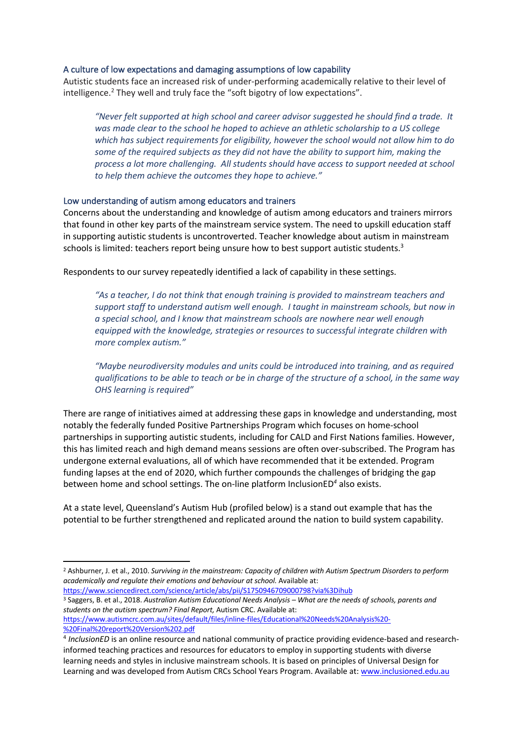## A culture of low expectations and damaging assumptions of low capability

Autistic students face an increased risk of under-performing academically relative to their level of intelligence.<sup>2</sup> They well and truly face the "soft bigotry of low expectations".

*"Never felt supported at high school and career advisor suggested he should find a trade. It was made clear to the school he hoped to achieve an athletic scholarship to a US college which has subject requirements for eligibility, however the school would not allow him to do some of the required subjects as they did not have the ability to support him, making the process a lot more challenging. All students should have access to support needed at school to help them achieve the outcomes they hope to achieve."*

## Low understanding of autism among educators and trainers

Concerns about the understanding and knowledge of autism among educators and trainers mirrors that found in other key parts of the mainstream service system. The need to upskill education staff in supporting autistic students is uncontroverted. Teacher knowledge about autism in mainstream schools is limited: teachers report being unsure how to best support autistic students.<sup>3</sup>

Respondents to our survey repeatedly identified a lack of capability in these settings.

*"As a teacher, I do not think that enough training is provided to mainstream teachers and support staff to understand autism well enough. I taught in mainstream schools, but now in a special school, and I know that mainstream schools are nowhere near well enough equipped with the knowledge, strategies or resources to successful integrate children with more complex autism."*

*"Maybe neurodiversity modules and units could be introduced into training, and as required qualifications to be able to teach or be in charge of the structure of a school, in the same way OHS learning is required"*

There are range of initiatives aimed at addressing these gaps in knowledge and understanding, most notably the federally funded Positive Partnerships Program which focuses on home-school partnerships in supporting autistic students, including for CALD and First Nations families. However, this has limited reach and high demand means sessions are often over-subscribed. The Program has undergone external evaluations, all of which have recommended that it be extended. Program funding lapses at the end of 2020, which further compounds the challenges of bridging the gap between home and school settings. The on-line platform InclusionED*<sup>4</sup>* also exists.

At a state level, Queensland's Autism Hub (profiled below) is a stand out example that has the potential to be further strengthened and replicated around the nation to build system capability.

<sup>3</sup> Saggers, B. et al., 2018. *Australian Autism Educational Needs Analysis – What are the needs of schools, parents and students on the autism spectrum? Final Report,* Autism CRC. Available at: https://www.autismcrc.com.au/sites/default/files/inline-files/Educational%20Needs%20Analysis%20-

%20Final%20report%20Version%202.pdf

<sup>2</sup> Ashburner, J. et al., 2010. *Surviving in the mainstream: Capacity of children with Autism Spectrum Disorders to perform academically and regulate their emotions and behaviour at school.* Available at: https://www.sciencedirect.com/science/article/abs/pii/S1750946709000798?via%3Dihub

<sup>4</sup> *InclusionED* is an online resource and national community of practice providing evidence-based and researchinformed teaching practices and resources for educators to employ in supporting students with diverse learning needs and styles in inclusive mainstream schools. It is based on principles of Universal Design for Learning and was developed from Autism CRCs School Years Program. Available at: www.inclusioned.edu.au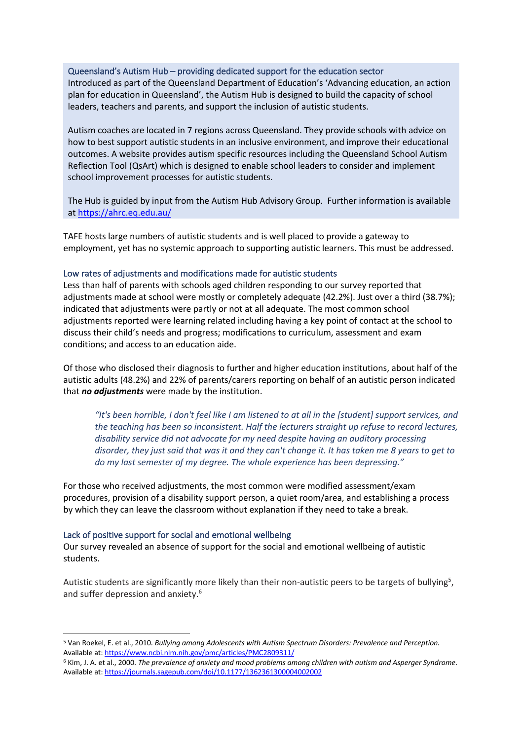#### Queensland's Autism Hub – providing dedicated support for the education sector

Introduced as part of the Queensland Department of Education's 'Advancing education, an action plan for education in Queensland', the Autism Hub is designed to build the capacity of school leaders, teachers and parents, and support the inclusion of autistic students.

Autism coaches are located in 7 regions across Queensland. They provide schools with advice on how to best support autistic students in an inclusive environment, and improve their educational outcomes. A website provides autism specific resources including the Queensland School Autism Reflection Tool (QsArt) which is designed to enable school leaders to consider and implement school improvement processes for autistic students.

The Hub is guided by input from the Autism Hub Advisory Group. Further information is available at https://ahrc.eq.edu.au/

TAFE hosts large numbers of autistic students and is well placed to provide a gateway to employment, yet has no systemic approach to supporting autistic learners. This must be addressed.

### Low rates of adjustments and modifications made for autistic students

Less than half of parents with schools aged children responding to our survey reported that adjustments made at school were mostly or completely adequate (42.2%). Just over a third (38.7%); indicated that adjustments were partly or not at all adequate. The most common school adjustments reported were learning related including having a key point of contact at the school to discuss their child's needs and progress; modifications to curriculum, assessment and exam conditions; and access to an education aide.

Of those who disclosed their diagnosis to further and higher education institutions, about half of the autistic adults (48.2%) and 22% of parents/carers reporting on behalf of an autistic person indicated that *no adjustments* were made by the institution.

*"It's been horrible, I don't feel like I am listened to at all in the [student] support services, and the teaching has been so inconsistent. Half the lecturers straight up refuse to record lectures, disability service did not advocate for my need despite having an auditory processing disorder, they just said that was it and they can't change it. It has taken me 8 years to get to do my last semester of my degree. The whole experience has been depressing."*

For those who received adjustments, the most common were modified assessment/exam procedures, provision of a disability support person, a quiet room/area, and establishing a process by which they can leave the classroom without explanation if they need to take a break.

### Lack of positive support for social and emotional wellbeing

Our survey revealed an absence of support for the social and emotional wellbeing of autistic students.

Autistic students are significantly more likely than their non-autistic peers to be targets of bullying<sup>5</sup>, and suffer depression and anxiety.<sup>6</sup>

<sup>5</sup> Van Roekel, E. et al., 2010. *Bullying among Adolescents with Autism Spectrum Disorders: Prevalence and Perception.* Available at: https://www.ncbi.nlm.nih.gov/pmc/articles/PMC2809311/

<sup>6</sup> Kim, J. A. et al., 2000. *The prevalence of anxiety and mood problems among children with autism and Asperger Syndrome*. Available at: https://journals.sagepub.com/doi/10.1177/1362361300004002002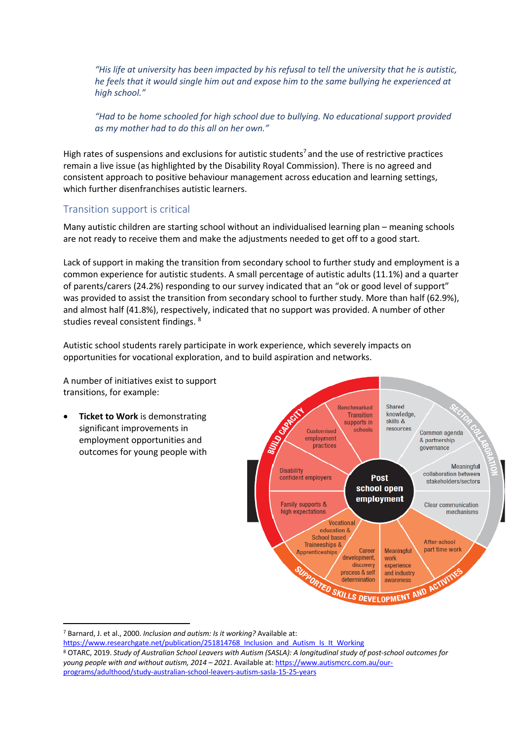*"His life at university has been impacted by his refusal to tell the university that he is autistic, he feels that it would single him out and expose him to the same bullying he experienced at high school."*

*"Had to be home schooled for high school due to bullying. No educational support provided as my mother had to do this all on her own."*

High rates of suspensions and exclusions for autistic students<sup>7</sup> and the use of restrictive practices remain a live issue (as highlighted by the Disability Royal Commission). There is no agreed and consistent approach to positive behaviour management across education and learning settings, which further disenfranchises autistic learners.

## Transition support is critical

Many autistic children are starting school without an individualised learning plan – meaning schools are not ready to receive them and make the adjustments needed to get off to a good start.

Lack of support in making the transition from secondary school to further study and employment is a common experience for autistic students. A small percentage of autistic adults (11.1%) and a quarter of parents/carers (24.2%) responding to our survey indicated that an "ok or good level of support" was provided to assist the transition from secondary school to further study. More than half (62.9%), and almost half (41.8%), respectively, indicated that no support was provided. A number of other studies reveal consistent findings. 8

Autistic school students rarely participate in work experience, which severely impacts on opportunities for vocational exploration, and to build aspiration and networks.

A number of initiatives exist to support transitions, for example:

• **Ticket to Work** is demonstrating significant improvements in employment opportunities and outcomes for young people with



<sup>7</sup> Barnard, J. et al., 2000. *Inclusion and autism: Is it working?* Available at:

https://www.researchgate.net/publication/251814768\_Inclusion\_and\_Autism\_Is\_It\_Working

<sup>8</sup> OTARC, 2019. *Study of Australian School Leavers with Autism (SASLA): A longitudinal study of post-school outcomes for young people with and without autism, 2014 – 2021*. Available at: https://www.autismcrc.com.au/ourprograms/adulthood/study-australian-school-leavers-autism-sasla-15-25-years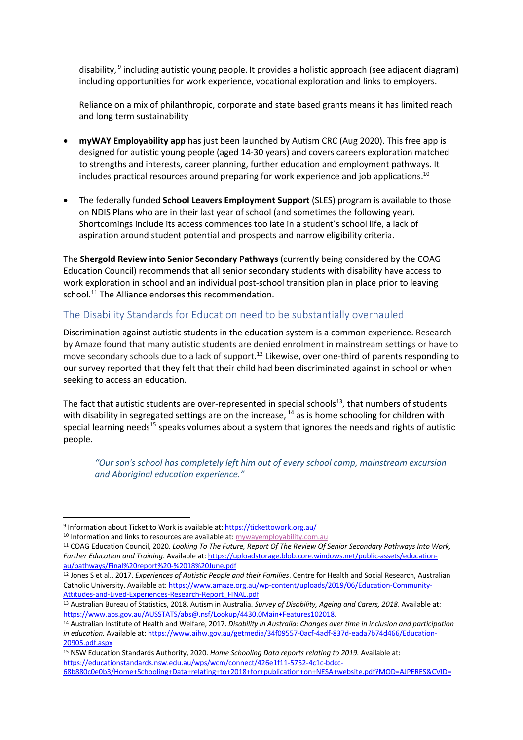disability, <sup>9</sup> including autistic young people. It provides a holistic approach (see adjacent diagram) including opportunities for work experience, vocational exploration and links to employers.

Reliance on a mix of philanthropic, corporate and state based grants means it has limited reach and long term sustainability

- **myWAY Employability app** has just been launched by Autism CRC (Aug 2020). This free app is designed for autistic young people (aged 14-30 years) and covers careers exploration matched to strengths and interests, career planning, further education and employment pathways. It includes practical resources around preparing for work experience and job applications.<sup>10</sup>
- The federally funded **School Leavers Employment Support** (SLES) program is available to those on NDIS Plans who are in their last year of school (and sometimes the following year). Shortcomings include its access commences too late in a student's school life, a lack of aspiration around student potential and prospects and narrow eligibility criteria.

The **Shergold Review into Senior Secondary Pathways** (currently being considered by the COAG Education Council) recommends that all senior secondary students with disability have access to work exploration in school and an individual post-school transition plan in place prior to leaving school.<sup>11</sup> The Alliance endorses this recommendation.

## The Disability Standards for Education need to be substantially overhauled

Discrimination against autistic students in the education system is a common experience. Research by Amaze found that many autistic students are denied enrolment in mainstream settings or have to move secondary schools due to a lack of support.<sup>12</sup> Likewise, over one-third of parents responding to our survey reported that they felt that their child had been discriminated against in school or when seeking to access an education.

The fact that autistic students are over-represented in special schools $^{13}$ , that numbers of students with disability in segregated settings are on the increase, <sup>14</sup> as is home schooling for children with special learning needs<sup>15</sup> speaks volumes about a system that ignores the needs and rights of autistic people.

*"Our son's school has completely left him out of every school camp, mainstream excursion and Aboriginal education experience."*

<sup>9</sup> Information about Ticket to Work is available at: https://tickettowork.org.au/

<sup>&</sup>lt;sup>10</sup> Information and links to resources are available at: mywayemployability.com.au

<sup>11</sup> COAG Education Council, 2020. *Looking To The Future, Report Of The Review Of Senior Secondary Pathways Into Work, Further Education and Training*. Available at: https://uploadstorage.blob.core.windows.net/public-assets/educationau/pathways/Final%20report%20-%2018%20June.pdf

<sup>12</sup> Jones S et al., 2017. *Experiences of Autistic People and their Families*. Centre for Health and Social Research, Australian Catholic University. Available at: https://www.amaze.org.au/wp-content/uploads/2019/06/Education-Community-Attitudes-and-Lived-Experiences-Research-Report\_FINAL.pdf

<sup>13</sup> Australian Bureau of Statistics, 2018. Autism in Australia. *Survey of Disability, Ageing and Carers, 2018*. Available at: https://www.abs.gov.au/AUSSTATS/abs@.nsf/Lookup/4430.0Main+Features102018. 14 Australian Institute of Health and Welfare, 2017. *Disability in Australia: Changes over time in inclusion and participation* 

*in education.* Available at: https://www.aihw.gov.au/getmedia/34f09557-0acf-4adf-837d-eada7b74d466/Education-20905.pdf.aspx

<sup>15</sup> NSW Education Standards Authority, 2020. *Home Schooling Data reports relating to 2019.* Available at: https://educationstandards.nsw.edu.au/wps/wcm/connect/426e1f11-5752-4c1c-bdcc-68b880c0e0b3/Home+Schooling+Data+relating+to+2018+for+publication+on+NESA+website.pdf?MOD=AJPERES&CVID=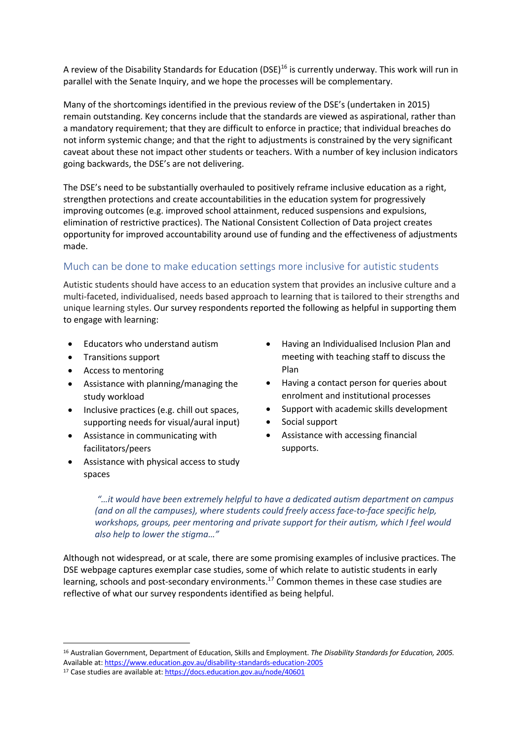A review of the Disability Standards for Education (DSE)<sup>16</sup> is currently underway. This work will run in parallel with the Senate Inquiry, and we hope the processes will be complementary.

Many of the shortcomings identified in the previous review of the DSE's (undertaken in 2015) remain outstanding. Key concerns include that the standards are viewed as aspirational, rather than a mandatory requirement; that they are difficult to enforce in practice; that individual breaches do not inform systemic change; and that the right to adjustments is constrained by the very significant caveat about these not impact other students or teachers. With a number of key inclusion indicators going backwards, the DSE's are not delivering.

The DSE's need to be substantially overhauled to positively reframe inclusive education as a right, strengthen protections and create accountabilities in the education system for progressively improving outcomes (e.g. improved school attainment, reduced suspensions and expulsions, elimination of restrictive practices). The National Consistent Collection of Data project creates opportunity for improved accountability around use of funding and the effectiveness of adjustments made.

## Much can be done to make education settings more inclusive for autistic students

Autistic students should have access to an education system that provides an inclusive culture and a multi-faceted, individualised, needs based approach to learning that is tailored to their strengths and unique learning styles. Our survey respondents reported the following as helpful in supporting them to engage with learning:

- Educators who understand autism
- Transitions support
- Access to mentoring
- Assistance with planning/managing the study workload
- Inclusive practices (e.g. chill out spaces, supporting needs for visual/aural input)
- Assistance in communicating with facilitators/peers
- Assistance with physical access to study spaces
- Having an Individualised Inclusion Plan and meeting with teaching staff to discuss the Plan
- Having a contact person for queries about enrolment and institutional processes
- Support with academic skills development
- Social support
- Assistance with accessing financial supports.

*"…it would have been extremely helpful to have a dedicated autism department on campus (and on all the campuses), where students could freely access face-to-face specific help, workshops, groups, peer mentoring and private support for their autism, which I feel would also help to lower the stigma…"*

Although not widespread, or at scale, there are some promising examples of inclusive practices. The DSE webpage captures exemplar case studies, some of which relate to autistic students in early learning, schools and post-secondary environments.<sup>17</sup> Common themes in these case studies are reflective of what our survey respondents identified as being helpful.

<sup>16</sup> Australian Government, Department of Education, Skills and Employment. *The Disability Standards for Education, 2005.*  Available at: https://www.education.gov.au/disability-standards-education-2005

<sup>17</sup> Case studies are available at: https://docs.education.gov.au/node/40601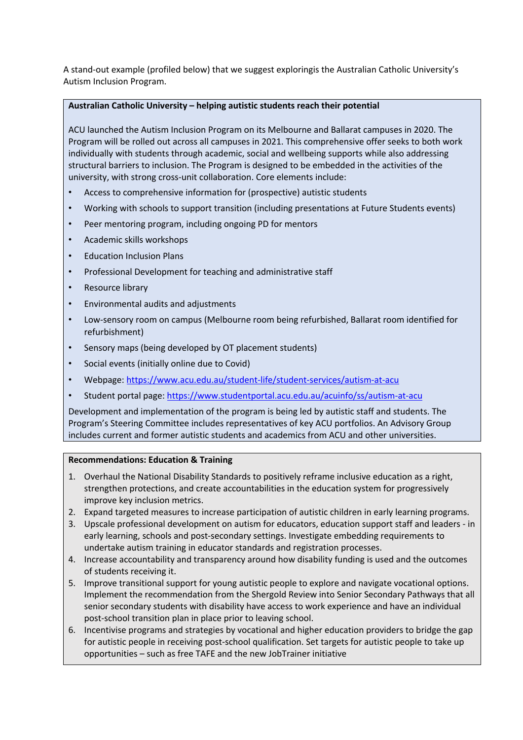A stand-out example (profiled below) that we suggest exploringis the Australian Catholic University's Autism Inclusion Program.

## **Australian Catholic University – helping autistic students reach their potential**

ACU launched the Autism Inclusion Program on its Melbourne and Ballarat campuses in 2020. The Program will be rolled out across all campuses in 2021. This comprehensive offer seeks to both work individually with students through academic, social and wellbeing supports while also addressing structural barriers to inclusion. The Program is designed to be embedded in the activities of the university, with strong cross-unit collaboration. Core elements include:

- Access to comprehensive information for (prospective) autistic students
- Working with schools to support transition (including presentations at Future Students events)
- Peer mentoring program, including ongoing PD for mentors
- Academic skills workshops
- Education Inclusion Plans
- Professional Development for teaching and administrative staff
- Resource library
- Environmental audits and adjustments
- Low-sensory room on campus (Melbourne room being refurbished, Ballarat room identified for refurbishment)
- Sensory maps (being developed by OT placement students)
- Social events (initially online due to Covid)
- Webpage: https://www.acu.edu.au/student-life/student-services/autism-at-acu
- Student portal page: https://www.studentportal.acu.edu.au/acuinfo/ss/autism-at-acu

Development and implementation of the program is being led by autistic staff and students. The Program's Steering Committee includes representatives of key ACU portfolios. An Advisory Group includes current and former autistic students and academics from ACU and other universities.

### **Recommendations: Education & Training**

- 1. Overhaul the National Disability Standards to positively reframe inclusive education as a right, strengthen protections, and create accountabilities in the education system for progressively improve key inclusion metrics.
- 2. Expand targeted measures to increase participation of autistic children in early learning programs.
- 3. Upscale professional development on autism for educators, education support staff and leaders in early learning, schools and post-secondary settings. Investigate embedding requirements to undertake autism training in educator standards and registration processes.
- 4. Increase accountability and transparency around how disability funding is used and the outcomes of students receiving it.
- 5. Improve transitional support for young autistic people to explore and navigate vocational options. Implement the recommendation from the Shergold Review into Senior Secondary Pathways that all senior secondary students with disability have access to work experience and have an individual post-school transition plan in place prior to leaving school.
- 6. Incentivise programs and strategies by vocational and higher education providers to bridge the gap for autistic people in receiving post-school qualification. Set targets for autistic people to take up opportunities – such as free TAFE and the new JobTrainer initiative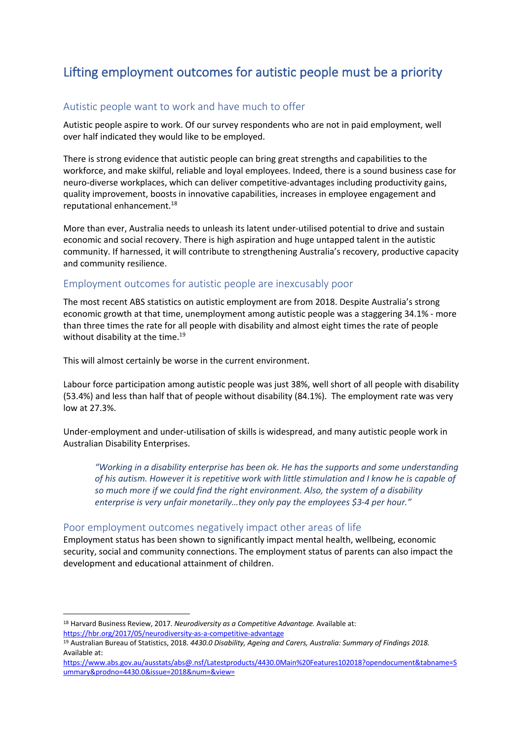## Lifting employment outcomes for autistic people must be a priority

## Autistic people want to work and have much to offer

Autistic people aspire to work. Of our survey respondents who are not in paid employment, well over half indicated they would like to be employed.

There is strong evidence that autistic people can bring great strengths and capabilities to the workforce, and make skilful, reliable and loyal employees. Indeed, there is a sound business case for neuro-diverse workplaces, which can deliver competitive-advantages including productivity gains, quality improvement, boosts in innovative capabilities, increases in employee engagement and reputational enhancement.18

More than ever, Australia needs to unleash its latent under-utilised potential to drive and sustain economic and social recovery. There is high aspiration and huge untapped talent in the autistic community. If harnessed, it will contribute to strengthening Australia's recovery, productive capacity and community resilience.

## Employment outcomes for autistic people are inexcusably poor

The most recent ABS statistics on autistic employment are from 2018. Despite Australia's strong economic growth at that time, unemployment among autistic people was a staggering 34.1% - more than three times the rate for all people with disability and almost eight times the rate of people without disability at the time.<sup>19</sup>

This will almost certainly be worse in the current environment.

Labour force participation among autistic people was just 38%, well short of all people with disability (53.4%) and less than half that of people without disability (84.1%). The employment rate was very low at 27.3%.

Under-employment and under-utilisation of skills is widespread, and many autistic people work in Australian Disability Enterprises.

*"Working in a disability enterprise has been ok. He has the supports and some understanding of his autism. However it is repetitive work with little stimulation and I know he is capable of so much more if we could find the right environment. Also, the system of a disability enterprise is very unfair monetarily…they only pay the employees \$3-4 per hour."*

## Poor employment outcomes negatively impact other areas of life

Employment status has been shown to significantly impact mental health, wellbeing, economic security, social and community connections. The employment status of parents can also impact the development and educational attainment of children.

<sup>18</sup> Harvard Business Review, 2017. *Neurodiversity as a Competitive Advantage.* Available at: https://hbr.org/2017/05/neurodiversity-as-a-competitive-advantage

<sup>19</sup> Australian Bureau of Statistics, 2018. *4430.0 Disability, Ageing and Carers, Australia: Summary of Findings 2018.* Available at:

https://www.abs.gov.au/ausstats/abs@.nsf/Latestproducts/4430.0Main%20Features102018?opendocument&tabname=S ummary&prodno=4430.0&issue=2018&num=&view=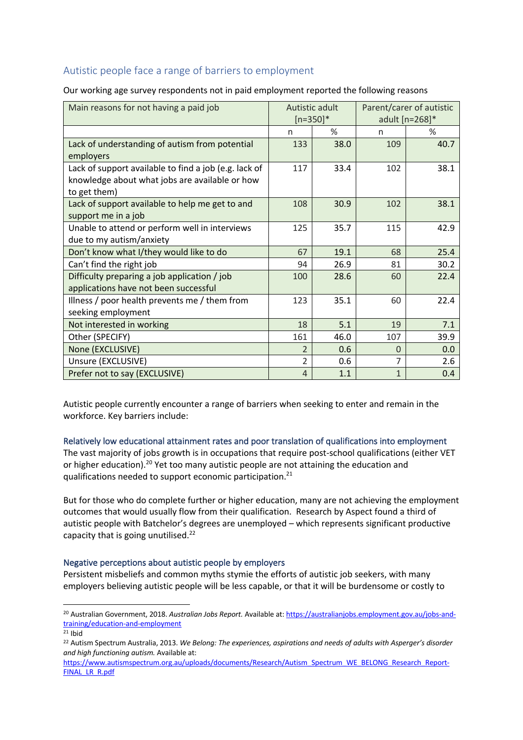## Autistic people face a range of barriers to employment

Our working age survey respondents not in paid employment reported the following reasons

| Main reasons for not having a paid job                                                                                  | Autistic adult<br>$[n=350]*$ |               | Parent/carer of autistic<br>adult [n=268]* |      |
|-------------------------------------------------------------------------------------------------------------------------|------------------------------|---------------|--------------------------------------------|------|
|                                                                                                                         | n                            | $\frac{9}{6}$ | n                                          | $\%$ |
| Lack of understanding of autism from potential<br>employers                                                             | 133                          | 38.0          | 109                                        | 40.7 |
| Lack of support available to find a job (e.g. lack of<br>knowledge about what jobs are available or how<br>to get them) | 117                          | 33.4          | 102                                        | 38.1 |
| Lack of support available to help me get to and<br>support me in a job                                                  | 108                          | 30.9          | 102                                        | 38.1 |
| Unable to attend or perform well in interviews<br>due to my autism/anxiety                                              | 125                          | 35.7          | 115                                        | 42.9 |
| Don't know what I/they would like to do                                                                                 | 67                           | 19.1          | 68                                         | 25.4 |
| Can't find the right job                                                                                                | 94                           | 26.9          | 81                                         | 30.2 |
| Difficulty preparing a job application / job<br>applications have not been successful                                   | 100                          | 28.6          | 60                                         | 22.4 |
| Illness / poor health prevents me / them from<br>seeking employment                                                     | 123                          | 35.1          | 60                                         | 22.4 |
| Not interested in working                                                                                               | 18                           | 5.1           | 19                                         | 7.1  |
| Other (SPECIFY)                                                                                                         | 161                          | 46.0          | 107                                        | 39.9 |
| None (EXCLUSIVE)                                                                                                        | $\overline{\mathcal{L}}$     | 0.6           | $\Omega$                                   | 0.0  |
| Unsure (EXCLUSIVE)                                                                                                      | 2                            | 0.6           | 7                                          | 2.6  |
| Prefer not to say (EXCLUSIVE)                                                                                           | 4                            | 1.1           | $\mathbf{1}$                               | 0.4  |

Autistic people currently encounter a range of barriers when seeking to enter and remain in the workforce. Key barriers include:

Relatively low educational attainment rates and poor translation of qualifications into employment

The vast majority of jobs growth is in occupations that require post-school qualifications (either VET or higher education).<sup>20</sup> Yet too many autistic people are not attaining the education and qualifications needed to support economic participation.21

But for those who do complete further or higher education, many are not achieving the employment outcomes that would usually flow from their qualification. Research by Aspect found a third of autistic people with Batchelor's degrees are unemployed – which represents significant productive capacity that is going unutilised.22

### Negative perceptions about autistic people by employers

Persistent misbeliefs and common myths stymie the efforts of autistic job seekers, with many employers believing autistic people will be less capable, or that it will be burdensome or costly to

<sup>20</sup> Australian Government, 2018. *Australian Jobs Report.* Available at: https://australianjobs.employment.gov.au/jobs-andtraining/education-and-employment

 $21$  Ibid

<sup>22</sup> Autism Spectrum Australia, 2013. *We Belong: The experiences, aspirations and needs of adults with Asperger's disorder and high functioning autism.* Available at:

https://www.autismspectrum.org.au/uploads/documents/Research/Autism\_Spectrum\_WE\_BELONG\_Research\_Report-FINAL\_LR\_R.pdf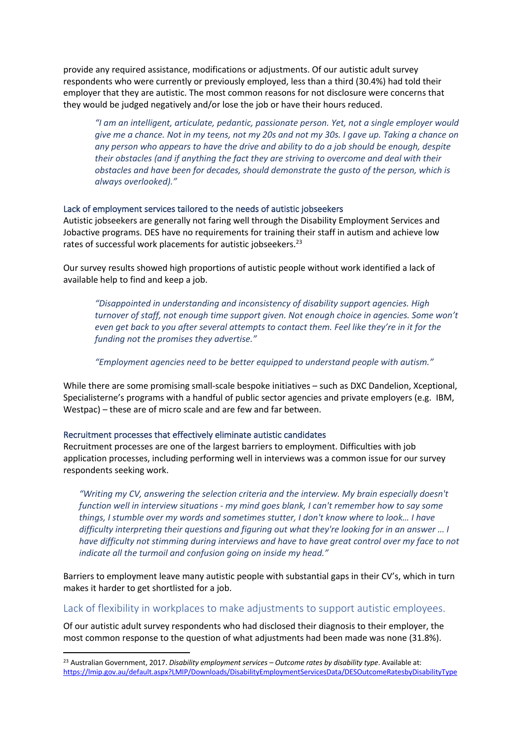provide any required assistance, modifications or adjustments. Of our autistic adult survey respondents who were currently or previously employed, less than a third (30.4%) had told their employer that they are autistic. The most common reasons for not disclosure were concerns that they would be judged negatively and/or lose the job or have their hours reduced.

*"I am an intelligent, articulate, pedantic, passionate person. Yet, not a single employer would give me a chance. Not in my teens, not my 20s and not my 30s. I gave up. Taking a chance on any person who appears to have the drive and ability to do a job should be enough, despite their obstacles (and if anything the fact they are striving to overcome and deal with their obstacles and have been for decades, should demonstrate the gusto of the person, which is always overlooked)."*

#### Lack of employment services tailored to the needs of autistic jobseekers

Autistic jobseekers are generally not faring well through the Disability Employment Services and Jobactive programs. DES have no requirements for training their staff in autism and achieve low rates of successful work placements for autistic jobseekers.<sup>23</sup>

Our survey results showed high proportions of autistic people without work identified a lack of available help to find and keep a job.

*"Disappointed in understanding and inconsistency of disability support agencies. High turnover of staff, not enough time support given. Not enough choice in agencies. Some won't even get back to you after several attempts to contact them. Feel like they're in it for the funding not the promises they advertise."*

*"Employment agencies need to be better equipped to understand people with autism."*

While there are some promising small-scale bespoke initiatives – such as DXC Dandelion, Xceptional, Specialisterne's programs with a handful of public sector agencies and private employers (e.g. IBM, Westpac) – these are of micro scale and are few and far between.

#### Recruitment processes that effectively eliminate autistic candidates

Recruitment processes are one of the largest barriers to employment. Difficulties with job application processes, including performing well in interviews was a common issue for our survey respondents seeking work.

*"Writing my CV, answering the selection criteria and the interview. My brain especially doesn't function well in interview situations - my mind goes blank, I can't remember how to say some things, I stumble over my words and sometimes stutter, I don't know where to look… I have difficulty interpreting their questions and figuring out what they're looking for in an answer … I have difficulty not stimming during interviews and have to have great control over my face to not indicate all the turmoil and confusion going on inside my head."*

Barriers to employment leave many autistic people with substantial gaps in their CV's, which in turn makes it harder to get shortlisted for a job.

#### Lack of flexibility in workplaces to make adjustments to support autistic employees.

Of our autistic adult survey respondents who had disclosed their diagnosis to their employer, the most common response to the question of what adjustments had been made was none (31.8%).

<sup>23</sup> Australian Government, 2017. *Disability employment services – Outcome rates by disability type*. Available at: https://lmip.gov.au/default.aspx?LMIP/Downloads/DisabilityEmploymentServicesData/DESOutcomeRatesbyDisabilityType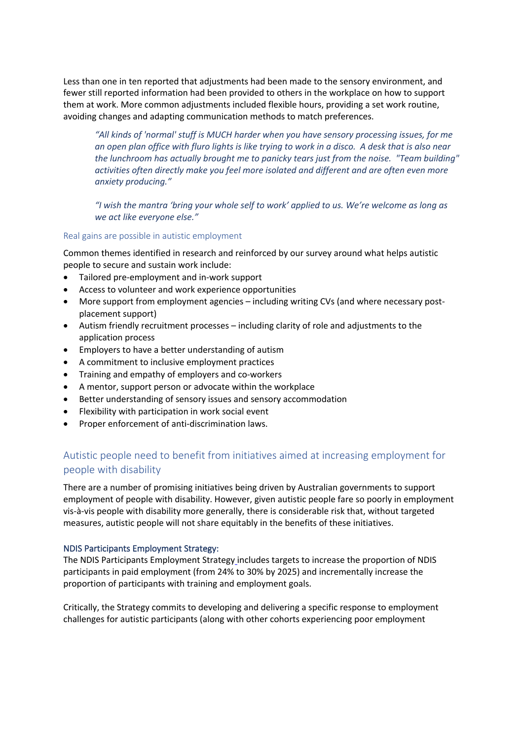Less than one in ten reported that adjustments had been made to the sensory environment, and fewer still reported information had been provided to others in the workplace on how to support them at work. More common adjustments included flexible hours, providing a set work routine, avoiding changes and adapting communication methods to match preferences.

*"All kinds of 'normal' stuff is MUCH harder when you have sensory processing issues, for me an open plan office with fluro lights is like trying to work in a disco. A desk that is also near the lunchroom has actually brought me to panicky tears just from the noise. "Team building" activities often directly make you feel more isolated and different and are often even more anxiety producing."*

*"I wish the mantra 'bring your whole self to work' applied to us. We're welcome as long as we act like everyone else."* 

#### Real gains are possible in autistic employment

Common themes identified in research and reinforced by our survey around what helps autistic people to secure and sustain work include:

- Tailored pre-employment and in-work support
- Access to volunteer and work experience opportunities
- More support from employment agencies including writing CVs (and where necessary postplacement support)
- Autism friendly recruitment processes including clarity of role and adjustments to the application process
- Employers to have a better understanding of autism
- A commitment to inclusive employment practices
- Training and empathy of employers and co-workers
- A mentor, support person or advocate within the workplace
- Better understanding of sensory issues and sensory accommodation
- Flexibility with participation in work social event
- Proper enforcement of anti-discrimination laws.

## Autistic people need to benefit from initiatives aimed at increasing employment for people with disability

There are a number of promising initiatives being driven by Australian governments to support employment of people with disability. However, given autistic people fare so poorly in employment vis-à-vis people with disability more generally, there is considerable risk that, without targeted measures, autistic people will not share equitably in the benefits of these initiatives.

### NDIS Participants Employment Strategy:

The NDIS Participants Employment Strategy includes targets to increase the proportion of NDIS participants in paid employment (from 24% to 30% by 2025) and incrementally increase the proportion of participants with training and employment goals.

Critically, the Strategy commits to developing and delivering a specific response to employment challenges for autistic participants (along with other cohorts experiencing poor employment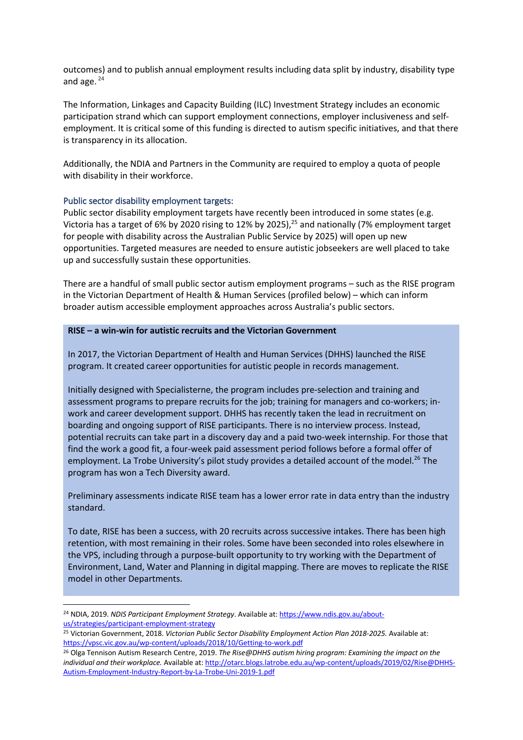outcomes) and to publish annual employment results including data split by industry, disability type and age.  $24$ 

The Information, Linkages and Capacity Building (ILC) Investment Strategy includes an economic participation strand which can support employment connections, employer inclusiveness and selfemployment. It is critical some of this funding is directed to autism specific initiatives, and that there is transparency in its allocation.

Additionally, the NDIA and Partners in the Community are required to employ a quota of people with disability in their workforce.

#### Public sector disability employment targets:

Public sector disability employment targets have recently been introduced in some states (e.g. Victoria has a target of 6% by 2020 rising to 12% by 2025),<sup>25</sup> and nationally (7% employment target for people with disability across the Australian Public Service by 2025) will open up new opportunities. Targeted measures are needed to ensure autistic jobseekers are well placed to take up and successfully sustain these opportunities.

There are a handful of small public sector autism employment programs – such as the RISE program in the Victorian Department of Health & Human Services (profiled below) – which can inform broader autism accessible employment approaches across Australia's public sectors.

#### **RISE – a win-win for autistic recruits and the Victorian Government**

In 2017, the Victorian Department of Health and Human Services (DHHS) launched the RISE program. It created career opportunities for autistic people in records management.

Initially designed with Specialisterne, the program includes pre-selection and training and assessment programs to prepare recruits for the job; training for managers and co-workers; inwork and career development support. DHHS has recently taken the lead in recruitment on boarding and ongoing support of RISE participants. There is no interview process. Instead, potential recruits can take part in a discovery day and a paid two-week internship. For those that find the work a good fit, a four-week paid assessment period follows before a formal offer of employment. La Trobe University's pilot study provides a detailed account of the model.<sup>26</sup> The program has won a Tech Diversity award.

Preliminary assessments indicate RISE team has a lower error rate in data entry than the industry standard.

To date, RISE has been a success, with 20 recruits across successive intakes. There has been high retention, with most remaining in their roles. Some have been seconded into roles elsewhere in the VPS, including through a purpose-built opportunity to try working with the Department of Environment, Land, Water and Planning in digital mapping. There are moves to replicate the RISE model in other Departments.

<sup>24</sup> NDIA, 2019. *NDIS Participant Employment Strategy*. Available at: https://www.ndis.gov.au/aboutus/strategies/participant-employment-strategy

<sup>25</sup> Victorian Government, 2018. *Victorian Public Sector Disability Employment Action Plan 2018-2025.* Available at: https://vpsc.vic.gov.au/wp-content/uploads/2018/10/Getting-to-work.pdf

<sup>26</sup> Olga Tennison Autism Research Centre, 2019. *The Rise@DHHS autism hiring program: Examining the impact on the individual and their workplace.* Available at: http://otarc.blogs.latrobe.edu.au/wp-content/uploads/2019/02/Rise@DHHS-Autism-Employment-Industry-Report-by-La-Trobe-Uni-2019-1.pdf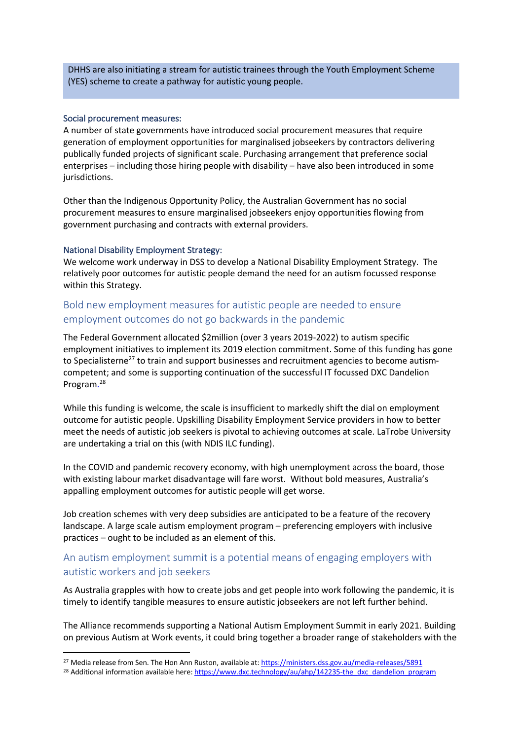DHHS are also initiating a stream for autistic trainees through the Youth Employment Scheme (YES) scheme to create a pathway for autistic young people.

#### Social procurement measures:

A number of state governments have introduced social procurement measures that require generation of employment opportunities for marginalised jobseekers by contractors delivering publically funded projects of significant scale. Purchasing arrangement that preference social enterprises – including those hiring people with disability – have also been introduced in some jurisdictions.

Other than the Indigenous Opportunity Policy, the Australian Government has no social procurement measures to ensure marginalised jobseekers enjoy opportunities flowing from government purchasing and contracts with external providers.

#### National Disability Employment Strategy:

We welcome work underway in DSS to develop a National Disability Employment Strategy. The relatively poor outcomes for autistic people demand the need for an autism focussed response within this Strategy.

## Bold new employment measures for autistic people are needed to ensure employment outcomes do not go backwards in the pandemic

The Federal Government allocated \$2million (over 3 years 2019-2022) to autism specific employment initiatives to implement its 2019 election commitment. Some of this funding has gone to Specialisterne<sup>27</sup> to train and support businesses and recruitment agencies to become autismcompetent; and some is supporting continuation of the successful IT focussed DXC Dandelion Program.<sup>28</sup>

While this funding is welcome, the scale is insufficient to markedly shift the dial on employment outcome for autistic people. Upskilling Disability Employment Service providers in how to better meet the needs of autistic job seekers is pivotal to achieving outcomes at scale. LaTrobe University are undertaking a trial on this (with NDIS ILC funding).

In the COVID and pandemic recovery economy, with high unemployment across the board, those with existing labour market disadvantage will fare worst. Without bold measures, Australia's appalling employment outcomes for autistic people will get worse.

Job creation schemes with very deep subsidies are anticipated to be a feature of the recovery landscape. A large scale autism employment program – preferencing employers with inclusive practices – ought to be included as an element of this.

## An autism employment summit is a potential means of engaging employers with autistic workers and job seekers

As Australia grapples with how to create jobs and get people into work following the pandemic, it is timely to identify tangible measures to ensure autistic jobseekers are not left further behind.

The Alliance recommends supporting a National Autism Employment Summit in early 2021. Building on previous Autism at Work events, it could bring together a broader range of stakeholders with the

<sup>&</sup>lt;sup>27</sup> Media release from Sen. The Hon Ann Ruston, available at: https://ministers.dss.gov.au/media-releases/5891

<sup>&</sup>lt;sup>28</sup> Additional information available here: https://www.dxc.technology/au/ahp/142235-the\_dxc\_dandelion\_program